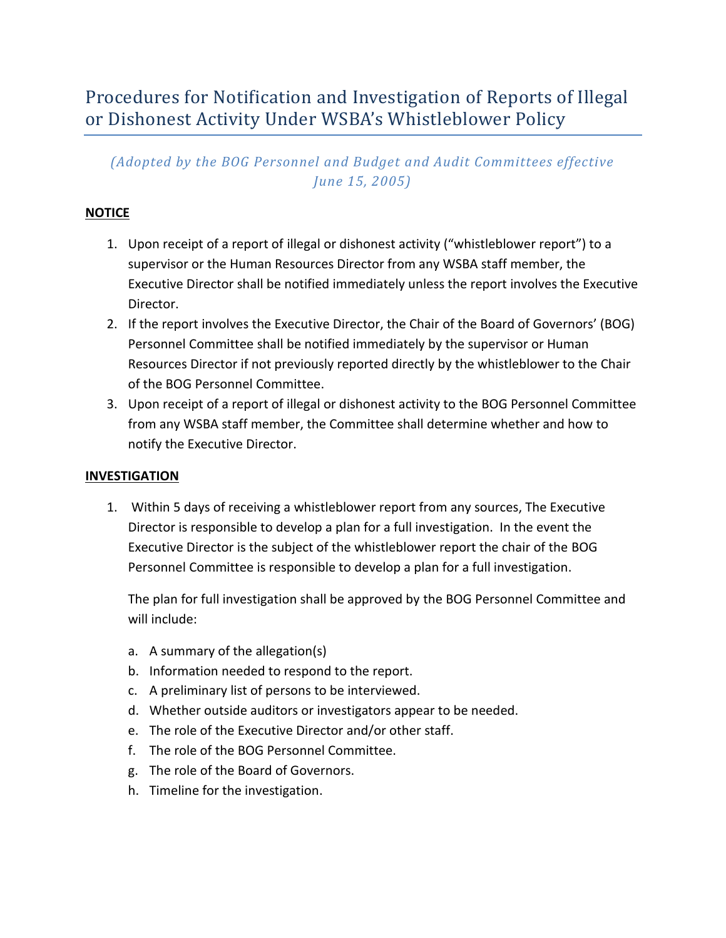# Procedures for Notification and Investigation of Reports of Illegal or Dishonest Activity Under WSBA's Whistleblower Policy

## *(Adopted by the BOG Personnel and Budget and Audit Committees effective June 15, 2005)*

### **NOTICE**

- 1. Upon receipt of a report of illegal or dishonest activity ("whistleblower report") to a supervisor or the Human Resources Director from any WSBA staff member, the Executive Director shall be notified immediately unless the report involves the Executive Director.
- 2. If the report involves the Executive Director, the Chair of the Board of Governors' (BOG) Personnel Committee shall be notified immediately by the supervisor or Human Resources Director if not previously reported directly by the whistleblower to the Chair of the BOG Personnel Committee.
- 3. Upon receipt of a report of illegal or dishonest activity to the BOG Personnel Committee from any WSBA staff member, the Committee shall determine whether and how to notify the Executive Director.

#### **INVESTIGATION**

1. Within 5 days of receiving a whistleblower report from any sources, The Executive Director is responsible to develop a plan for a full investigation. In the event the Executive Director is the subject of the whistleblower report the chair of the BOG Personnel Committee is responsible to develop a plan for a full investigation.

The plan for full investigation shall be approved by the BOG Personnel Committee and will include:

- a. A summary of the allegation(s)
- b. Information needed to respond to the report.
- c. A preliminary list of persons to be interviewed.
- d. Whether outside auditors or investigators appear to be needed.
- e. The role of the Executive Director and/or other staff.
- f. The role of the BOG Personnel Committee.
- g. The role of the Board of Governors.
- h. Timeline for the investigation.